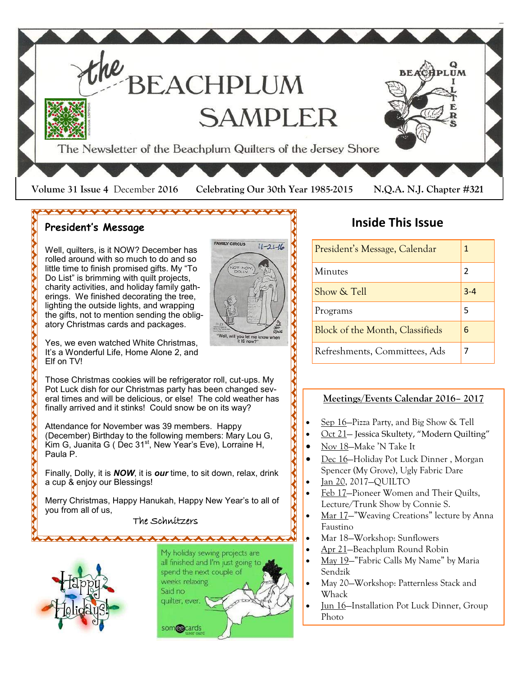

### **President's Message**

Well, quilters, is it NOW? December has rolled around with so much to do and so little time to finish promised gifts. My "To Do List" is brimming with quilt projects, charity activities, and holiday family gatherings. We finished decorating the tree, lighting the outside lights, and wrapping the gifts, not to mention sending the obligatory Christmas cards and packages.

\*\*\*\*\*\*\*\*\*\*\*\*\*\*\*\*\*\*\*\*



Yes, we even watched White Christmas, It's a Wonderful Life, Home Alone 2, and Elf on TV!

Those Christmas cookies will be refrigerator roll, cut-ups. My Pot Luck dish for our Christmas party has been changed several times and will be delicious, or else! The cold weather has finally arrived and it stinks! Could snow be on its way?

Attendance for November was 39 members. Happy (December) Birthday to the following members: Mary Lou G, Kim G, Juanita G ( Dec  $31<sup>st</sup>$ , New Year's Eve), Lorraine H, Paula P.

Finally, Dolly, it is *NOW*, it is *our* time, to sit down, relax, drink a cup & enjoy our Blessings!

Merry Christmas, Happy Hanukah, Happy New Year's to all of you from all of us,

### The Schnitzers



My holiday sewing projects are all finished and I'm just going to spend the next couple of weeks relaxing. Said no quilter, ever. som**eg**cards

 $\begin{picture}(120,140)(-0.45,0.75) \put(0,0){\vector(1,0){40}} \put(15,0){\vector(1,0){40}} \put(15,0){\vector(1,0){40}} \put(15,0){\vector(1,0){40}} \put(15,0){\vector(1,0){40}} \put(15,0){\vector(1,0){40}} \put(15,0){\vector(1,0){40}} \put(15,0){\vector(1,0){40}} \put(15,0){\vector(1,0){40}} \put(15,0){\vector(1,0){40}} \put(15,0){\vector(1,0){40$ 

# **Inside This Issue**

| President's Message, Calendar   | 1              |
|---------------------------------|----------------|
| Minutes                         | $\mathfrak{p}$ |
| Show & Tell                     | $3 - 4$        |
| Programs                        | 5              |
| Block of the Month, Classifieds | 6              |
| Refreshments, Committees, Ads   | 7              |

### **Meetings/Events Calendar 2016– 2017**

- Sep 16—Pizza Party, and Big Show & Tell
- Oct 21– Jessica Skultety, "Modern Quilting"
- Nov 18—Make 'N Take It
- Dec 16—Holiday Pot Luck Dinner , Morgan Spencer (My Grove), Ugly Fabric Dare
- Jan 20, 2017—QUILTO
- Feb 17–Pioneer Women and Their Quilts, Lecture/Trunk Show by Connie S.
- Mar 17—"Weaving Creations" lecture by Anna Faustino
- Mar 18—Workshop: Sunflowers
- Apr 21—Beachplum Round Robin
- May 19—"Fabric Calls My Name" by Maria Sendzik
- May 20—Workshop: Patternless Stack and Whack
- Jun 16—Installation Pot Luck Dinner, Group Photo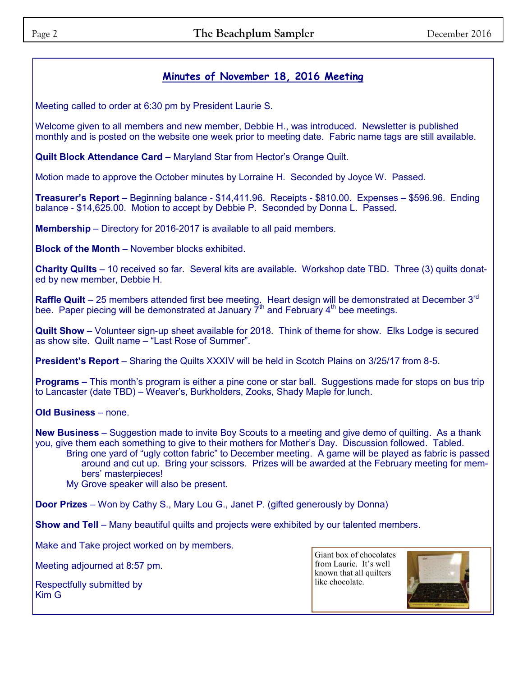### **Minutes of November 18, 2016 Meeting**

Meeting called to order at 6:30 pm by President Laurie S.

Welcome given to all members and new member, Debbie H., was introduced. Newsletter is published monthly and is posted on the website one week prior to meeting date. Fabric name tags are still available.

**Quilt Block Attendance Card** – Maryland Star from Hector's Orange Quilt.

Motion made to approve the October minutes by Lorraine H. Seconded by Joyce W. Passed.

**Treasurer's Report** – Beginning balance - \$14,411.96. Receipts - \$810.00. Expenses – \$596.96. Ending balance - \$14,625.00. Motion to accept by Debbie P. Seconded by Donna L. Passed.

**Membership** – Directory for 2016-2017 is available to all paid members.

**Block of the Month** – November blocks exhibited.

**Charity Quilts** – 10 received so far. Several kits are available. Workshop date TBD. Three (3) quilts donated by new member, Debbie H.

**Raffle Quilt** – 25 members attended first bee meeting. Heart design will be demonstrated at December 3<sup>rd</sup> bee. Paper piecing will be demonstrated at January  $\overline{Y}^{th}$  and February  $4^{th}$  bee meetings.

**Quilt Show** – Volunteer sign-up sheet available for 2018. Think of theme for show. Elks Lodge is secured as show site. Quilt name – "Last Rose of Summer".

**President's Report** – Sharing the Quilts XXXIV will be held in Scotch Plains on 3/25/17 from 8-5.

**Programs –** This month's program is either a pine cone or star ball. Suggestions made for stops on bus trip to Lancaster (date TBD) – Weaver's, Burkholders, Zooks, Shady Maple for lunch.

**Old Business** – none.

**New Business** – Suggestion made to invite Boy Scouts to a meeting and give demo of quilting. As a thank you, give them each something to give to their mothers for Mother's Day. Discussion followed. Tabled.

Bring one yard of "ugly cotton fabric" to December meeting. A game will be played as fabric is passed around and cut up. Bring your scissors. Prizes will be awarded at the February meeting for members' masterpieces!

My Grove speaker will also be present.

**Door Prizes** – Won by Cathy S., Mary Lou G., Janet P. (gifted generously by Donna)

**Show and Tell** – Many beautiful quilts and projects were exhibited by our talented members.

Make and Take project worked on by members.

Meeting adjourned at 8:57 pm.

Respectfully submitted by Kim G

Giant box of chocolates from Laurie. It's well known that all quilters like chocolate.

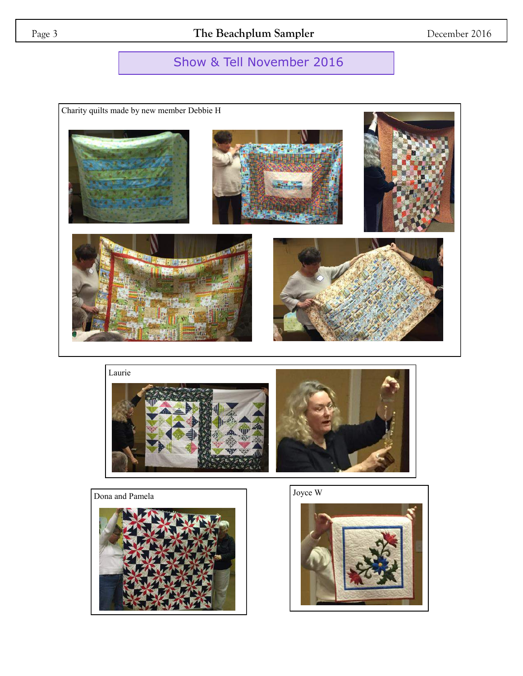# Show & Tell November 2016











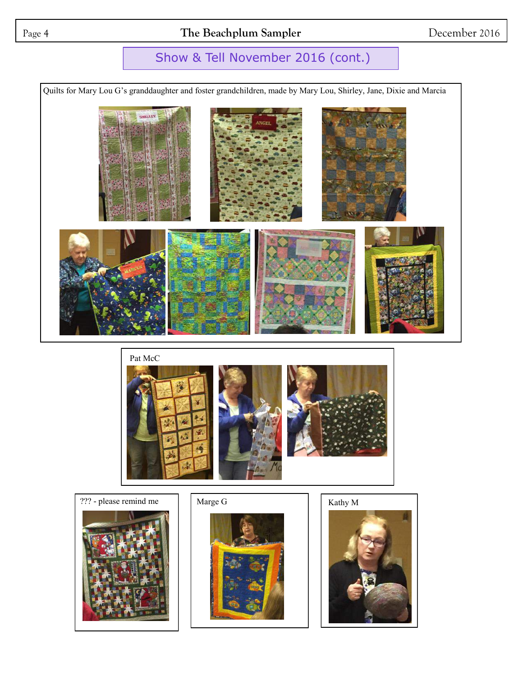## Page 4 **The Beachplum Sampler** December 2016

# Show & Tell November 2016 (cont.)

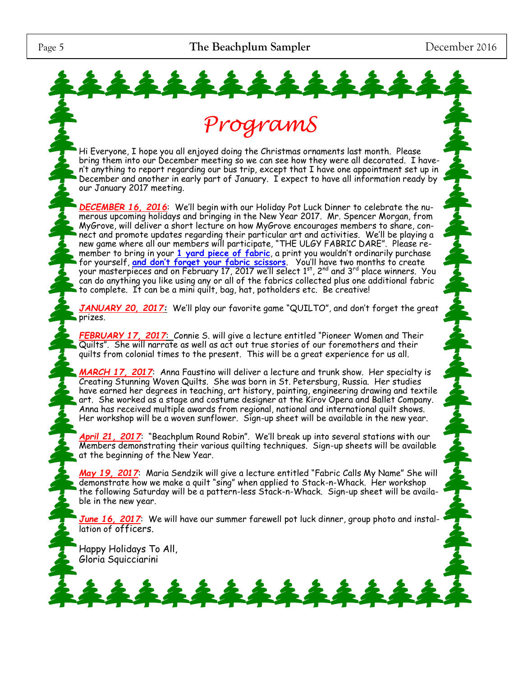22



Quilts". She will narrate as well as act out true stories of our foremothers and their quilts from colonial times to the present. This will be a great experience for us all.

*MARCH 17, 2017*: Anna Faustino will deliver a lecture and trunk show. Her specialty is Creating Stunning Woven Quilts. She was born in St. Petersburg, Russia. Her studies have earned her degrees in teaching, art history, painting, engineering drawing and textile art. She worked as a stage and costume designer at the Kirov Opera and Ballet Company. Anna has received multiple awards from regional, national and international quilt shows. Her workshop will be a woven sunflower. Sign-up sheet will be available in the new year.

*April 21, 2017*: "Beachplum Round Robin". We'll break up into several stations with our Members demonstrating their various quilting techniques. Sign-up sheets will be available at the beginning of the New Year.

*May 19, 2017*: Maria Sendzik will give a lecture entitled "Fabric Calls My Name" She will demonstrate how we make a quilt "sing" when applied to Stack-n-Whack. Her workshop the following Saturday will be a pattern-less Stack-n-Whack. Sign-up sheet will be available in the new year.

*June 16, 2017*: We will have our summer farewell pot luck dinner, group photo and installation of officers.

\*\*\*\*\*\*\*\*\*

Happy Holidays To All, Gloria Squicciarini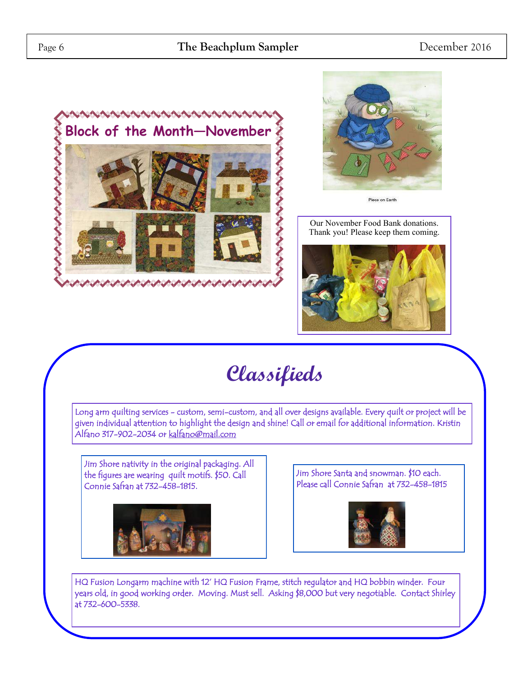



Our November Food Bank donations. Thank you! Please keep them coming.



# **Classifieds**

Long arm quilting services - custom, semi-custom, and all over designs available. Every quilt or project will be given individual attention to highlight the design and shine! Call or email for additional information. Kristin Alfano 317-902-2034 or [kalfano@mail.com](mailto:kalfano@mail.com) 

Jim Shore nativity in the original packaging. All the figures are wearing quilt motifs. \$50. Call Connie Safran at 732-458-1815.



Jim Shore Santa and snowman. \$10 each. Please call Connie Safran at 732-458-1815



HQ Fusion Longarm machine with 12' HQ Fusion Frame, stitch regulator and HQ bobbin winder. Four years old, in good working order. Moving. Must sell. Asking \$8,000 but very negotiable. Contact Shirley at 732-600-5338.